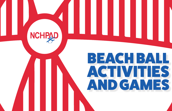